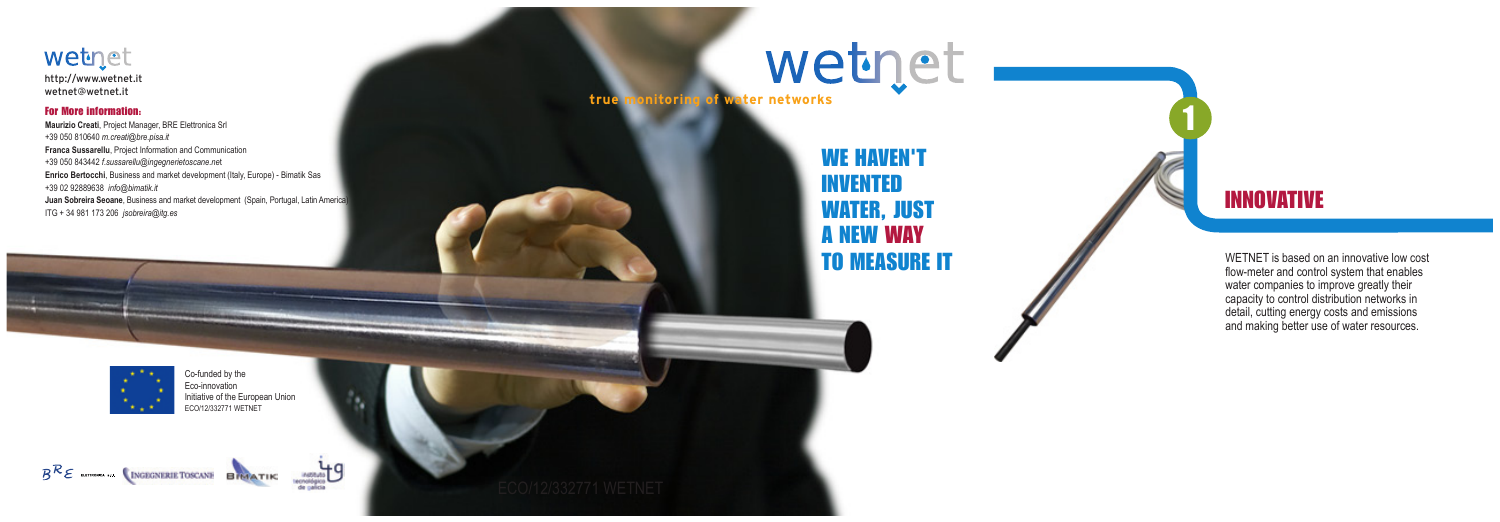# wetnet **true monitoring of water networks**

WETNET is based on an innovative low cost flow-meter and control system that enables water companies to improve greatly their capacity to control distribution networks in detail, cutting energy costs and emissions and making better use of water resources.

Co-funded by the Eco-innovation Initiative of the European Union ECO/12/332771 WETNET

## $B^{\mathcal{R}}\mathcal{E}$  autrones on CINGEGINIBILE TOSCANE BRAATIK



1

## WE HAVEN'T INVENTED WATER, JUST A NEW WAY TO MEASURE IT



## INNOVATIVE

#### wetnet

http://www.wetnet.it wetnet@wetnet.it

#### For More information:

**Maurizio Creati**, Project Manager, BRE Elettronica Srl +39 050 810640 *m.creati@bre.pisa.it* **Franca Sussarellu**, Project Information and Communication +39 050 843442 *f.sussarellu@ingegnerietoscane.ne*t **Enrico Bertocchi**, Business and market development (Italy, Europe) - Bimatik Sas +39 02 92889638 *info@bimatik.it* **Juan Sobreira Seoane**, Business and market development (Spain, Portugal, Latin America) ITG + 34 981 173 206 *jsobreira@itg.es*